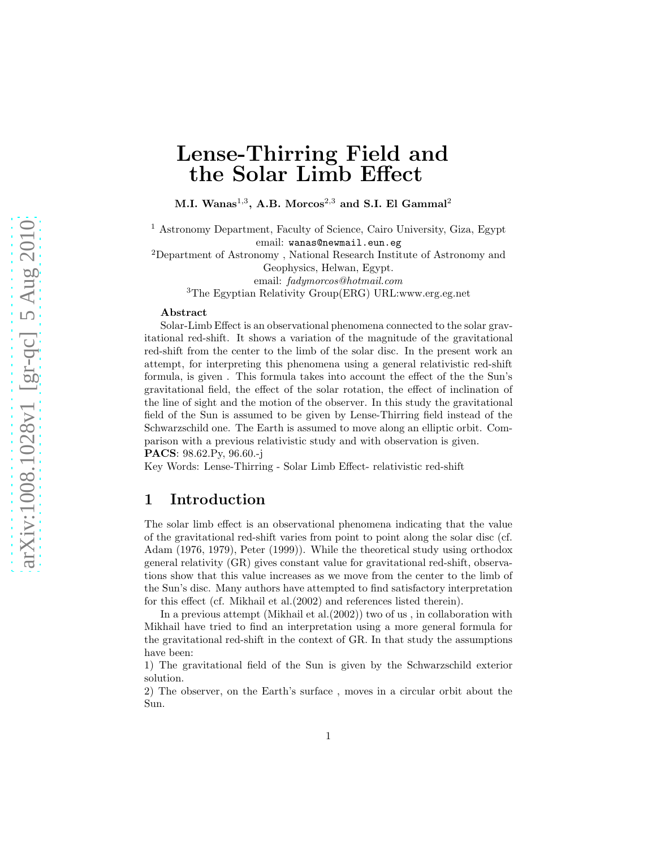# Lense-Thirring Field and the Solar Limb Effect

M.I. Wanas $^{1,3}$ , A.B. Morcos $^{2,3}$  and S.I. El Gammal $^2$ 

<sup>1</sup> Astronomy Department, Faculty of Science, Cairo University, Giza, Egypt email: wanas@newmail.eun.eg

<sup>2</sup>Department of Astronomy , National Research Institute of Astronomy and Geophysics, Helwan, Egypt.

email: fadymorcos@hotmail.com

<sup>3</sup>The Egyptian Relativity Group(ERG) URL:www.erg.eg.net

#### Abstract

Solar-Limb Effect is an observational phenomena connected to the solar gravitational red-shift. It shows a variation of the magnitude of the gravitational red-shift from the center to the limb of the solar disc. In the present work an attempt, for interpreting this phenomena using a general relativistic red-shift formula, is given . This formula takes into account the effect of the the Sun's gravitational field, the effect of the solar rotation, the effect of inclination of the line of sight and the motion of the observer. In this study the gravitational field of the Sun is assumed to be given by Lense-Thirring field instead of the Schwarzschild one. The Earth is assumed to move along an elliptic orbit. Comparison with a previous relativistic study and with observation is given. PACS: 98.62.Py, 96.60.-j

Key Words: Lense-Thirring - Solar Limb Effect- relativistic red-shift

### 1 Introduction

The solar limb effect is an observational phenomena indicating that the value of the gravitational red-shift varies from point to point along the solar disc (cf. Adam (1976, 1979), Peter (1999)). While the theoretical study using orthodox general relativity (GR) gives constant value for gravitational red-shift, observations show that this value increases as we move from the center to the limb of the Sun's disc. Many authors have attempted to find satisfactory interpretation for this effect (cf. Mikhail et al.(2002) and references listed therein).

In a previous attempt (Mikhail et al.(2002)) two of us , in collaboration with Mikhail have tried to find an interpretation using a more general formula for the gravitational red-shift in the context of GR. In that study the assumptions have been:

1) The gravitational field of the Sun is given by the Schwarzschild exterior solution.

2) The observer, on the Earth's surface , moves in a circular orbit about the Sun.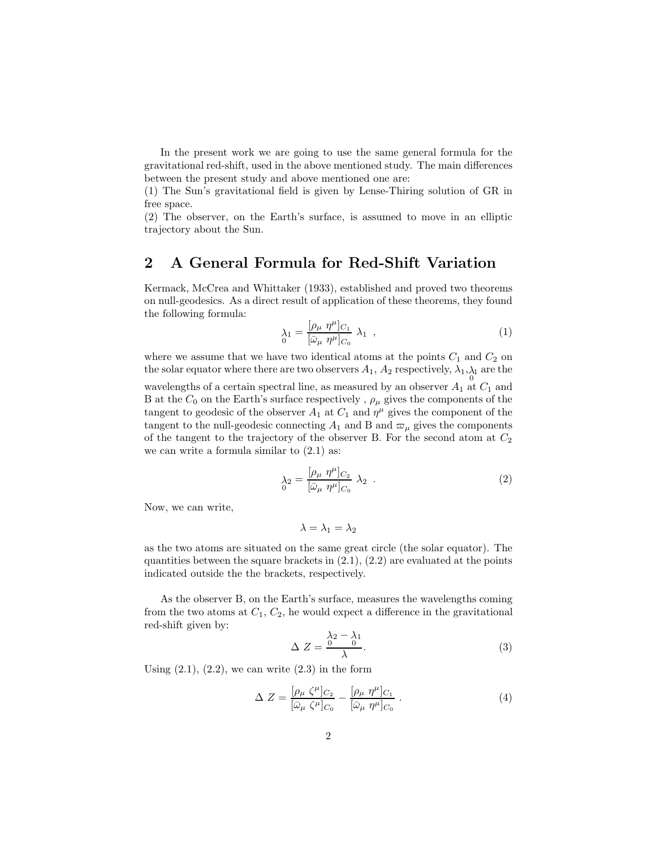In the present work we are going to use the same general formula for the gravitational red-shift, used in the above mentioned study. The main differences between the present study and above mentioned one are:

(1) The Sun's gravitational field is given by Lense-Thiring solution of GR in free space.

(2) The observer, on the Earth's surface, is assumed to move in an elliptic trajectory about the Sun.

### 2 A General Formula for Red-Shift Variation

Kermack, McCrea and Whittaker (1933), established and proved two theorems on null-geodesics. As a direct result of application of these theorems, they found the following formula:

$$
\lambda_1 = \frac{[\rho_\mu \ \eta^\mu]_{C_1}}{[\bar{\omega}_\mu \ \eta^\mu]_{C_0}} \ \lambda_1 \ , \tag{1}
$$

where we assume that we have two identical atoms at the points  $C_1$  and  $C_2$  on the solar equator where there are two observers  $A_1$ ,  $A_2$  respectively,  $\lambda_1, \lambda_1$  are the wavelengths of a certain spectral line, as measured by an observer  $A_1$  at  $C_1$  and B at the  $C_0$  on the Earth's surface respectively,  $\rho_\mu$  gives the components of the tangent to geodesic of the observer  $A_1$  at  $C_1$  and  $\eta^{\mu}$  gives the component of the tangent to the null-geodesic connecting  $A_1$  and B and  $\varpi_\mu$  gives the components of the tangent to the trajectory of the observer B. For the second atom at  $C_2$ we can write a formula similar to  $(2.1)$  as:

$$
\lambda_2 = \frac{[\rho_\mu \ \eta^\mu]_{C_2}}{[\bar{\omega}_\mu \ \eta^\mu]_{C_0}} \ \lambda_2 \ . \tag{2}
$$

Now, we can write,

$$
\lambda = \lambda_1 = \lambda_2
$$

as the two atoms are situated on the same great circle (the solar equator). The quantities between the square brackets in  $(2.1)$ ,  $(2.2)$  are evaluated at the points indicated outside the the brackets, respectively.

As the observer B, on the Earth's surface, measures the wavelengths coming from the two atoms at  $C_1, C_2$ , he would expect a difference in the gravitational red-shift given by:

$$
\Delta Z = \frac{\lambda_2 - \lambda_1}{\lambda}.
$$
\n(3)

Using  $(2.1)$ ,  $(2.2)$ , we can write  $(2.3)$  in the form

$$
\Delta Z = \frac{[\rho_{\mu} \zeta^{\mu}]_{C_2}}{[\bar{\omega}_{\mu} \zeta^{\mu}]_{C_0}} - \frac{[\rho_{\mu} \eta^{\mu}]_{C_1}}{[\bar{\omega}_{\mu} \eta^{\mu}]_{C_0}}.
$$
\n(4)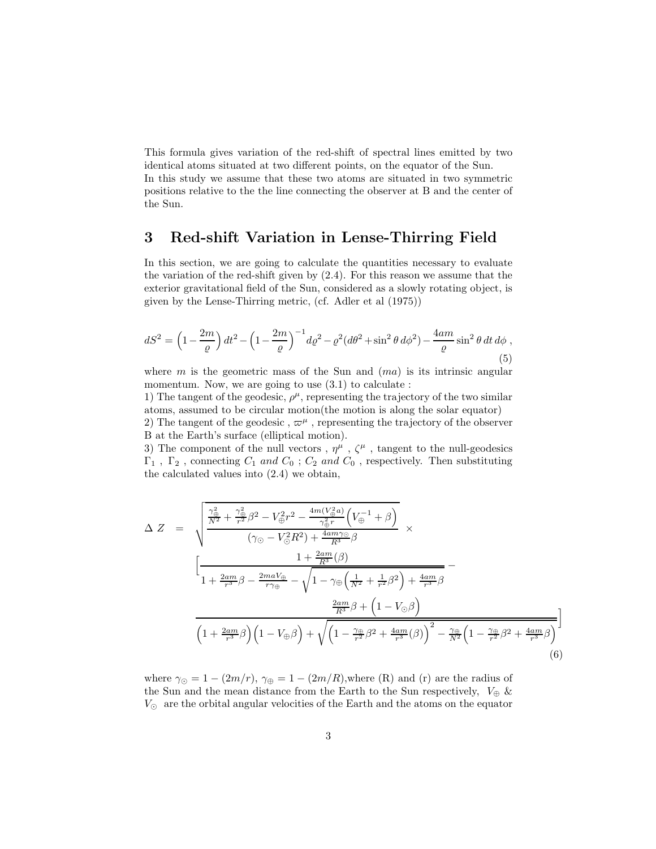This formula gives variation of the red-shift of spectral lines emitted by two identical atoms situated at two different points, on the equator of the Sun. In this study we assume that these two atoms are situated in two symmetric positions relative to the the line connecting the observer at B and the center of the Sun.

## 3 Red-shift Variation in Lense-Thirring Field

In this section, we are going to calculate the quantities necessary to evaluate the variation of the red-shift given by (2.4). For this reason we assume that the exterior gravitational field of the Sun, considered as a slowly rotating object, is given by the Lense-Thirring metric, (cf. Adler et al (1975))

$$
dS^{2} = \left(1 - \frac{2m}{\varrho}\right)dt^{2} - \left(1 - \frac{2m}{\varrho}\right)^{-1}d\varrho^{2} - \varrho^{2}(d\theta^{2} + \sin^{2}\theta \,d\phi^{2}) - \frac{4am}{\varrho}\sin^{2}\theta \,dt \,d\phi ,
$$
\n(5)

where  $m$  is the geometric mass of the Sun and  $(ma)$  is its intrinsic angular momentum. Now, we are going to use  $(3.1)$  to calculate :

1) The tangent of the geodesic,  $\rho^{\mu}$ , representing the trajectory of the two similar atoms, assumed to be circular motion(the motion is along the solar equator)

2) The tangent of the geodesic,  $\varpi^{\mu}$ , representing the trajectory of the observer B at the Earth's surface (elliptical motion).

3) The component of the null vectors,  $\eta^{\mu}$ ,  $\zeta^{\mu}$ , tangent to the null-geodesics  $\Gamma_1$ ,  $\Gamma_2$ , connecting  $C_1$  and  $C_0$ ;  $C_2$  and  $C_0$ , respectively. Then substituting the calculated values into (2.4) we obtain,

$$
\Delta Z = \sqrt{\frac{\frac{\gamma_{\oplus}^2}{N^2} + \frac{\gamma_{\oplus}^2}{r^2} \beta^2 - V_{\oplus}^2 r^2 - \frac{4m(V_{\oplus}^2 a)}{\gamma_{\oplus}^2 r} \left(V_{\oplus}^{-1} + \beta\right)}{(\gamma_{\odot} - V_{\odot}^2 R^2) + \frac{4am\gamma_{\odot}}{R^3} \beta} \times \left[\frac{1 + \frac{2am}{R^3} (\beta)}{1 + \frac{2am}{r^3} \beta - \frac{2maV_{\oplus}}{r\gamma_{\oplus}} - \sqrt{1 - \gamma_{\oplus} \left(\frac{1}{N^2} + \frac{1}{r^2} \beta^2\right) + \frac{4am}{r^3} \beta}} - \frac{\frac{2am}{R^3} \beta + \left(1 - V_{\odot} \beta\right)}{\frac{2am}{R^3} \beta + \left(1 - V_{\odot} \beta\right)}\right]} \frac{2am}{\left(1 + \frac{2am}{r^3} \beta\right) \left(1 - V_{\oplus} \beta\right) + \sqrt{\left(1 - \frac{\gamma_{\oplus}}{r^2} \beta^2 + \frac{4am}{r^3} (\beta)\right)^2 - \frac{\gamma_{\oplus}}{N^2} \left(1 - \frac{\gamma_{\oplus}}{r^2} \beta^2 + \frac{4am}{r^3} \beta\right)}\right]}
$$
\n(6)

i

where  $\gamma_{\odot} = 1 - (2m/r)$ ,  $\gamma_{\oplus} = 1 - (2m/R)$ , where (R) and (r) are the radius of the Sun and the mean distance from the Earth to the Sun respectively,  $V_{\oplus}$  &  $V_{\odot}$  are the orbital angular velocities of the Earth and the atoms on the equator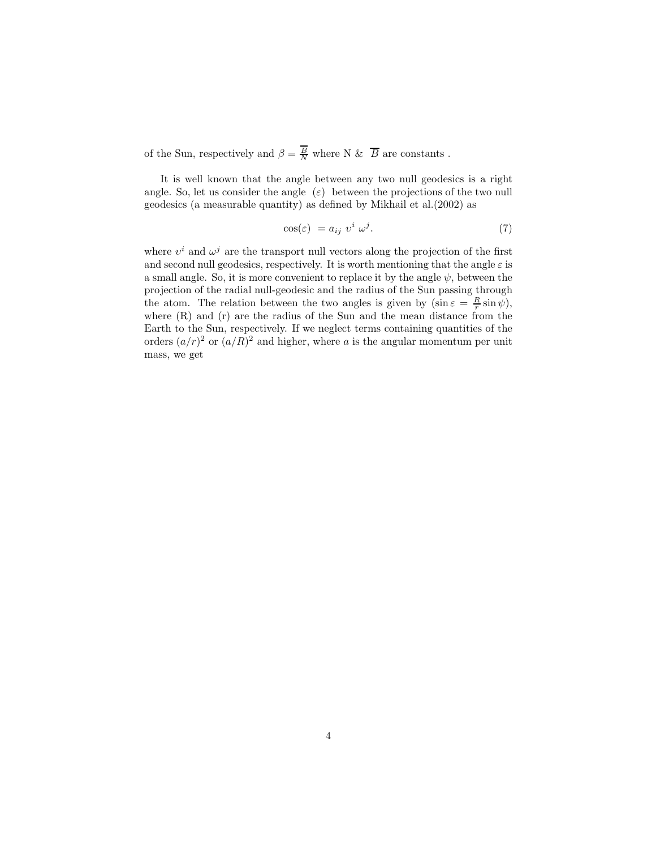of the Sun, respectively and  $\beta = \frac{B}{N}$  where N &  $\overline{B}$  are constants.

It is well known that the angle between any two null geodesics is a right angle. So, let us consider the angle  $(\varepsilon)$  between the projections of the two null geodesics (a measurable quantity) as defined by Mikhail et al.(2002) as

$$
\cos(\varepsilon) = a_{ij} \ v^i \ \omega^j. \tag{7}
$$

where  $v^i$  and  $\omega^j$  are the transport null vectors along the projection of the first and second null geodesics, respectively. It is worth mentioning that the angle  $\varepsilon$  is a small angle. So, it is more convenient to replace it by the angle  $\psi$ , between the projection of the radial null-geodesic and the radius of the Sun passing through the atom. The relation between the two angles is given by  $(\sin \varepsilon = \frac{R}{r} \sin \psi)$ , where (R) and (r) are the radius of the Sun and the mean distance from the Earth to the Sun, respectively. If we neglect terms containing quantities of the orders  $(a/r)^2$  or  $(a/R)^2$  and higher, where a is the angular momentum per unit mass, we get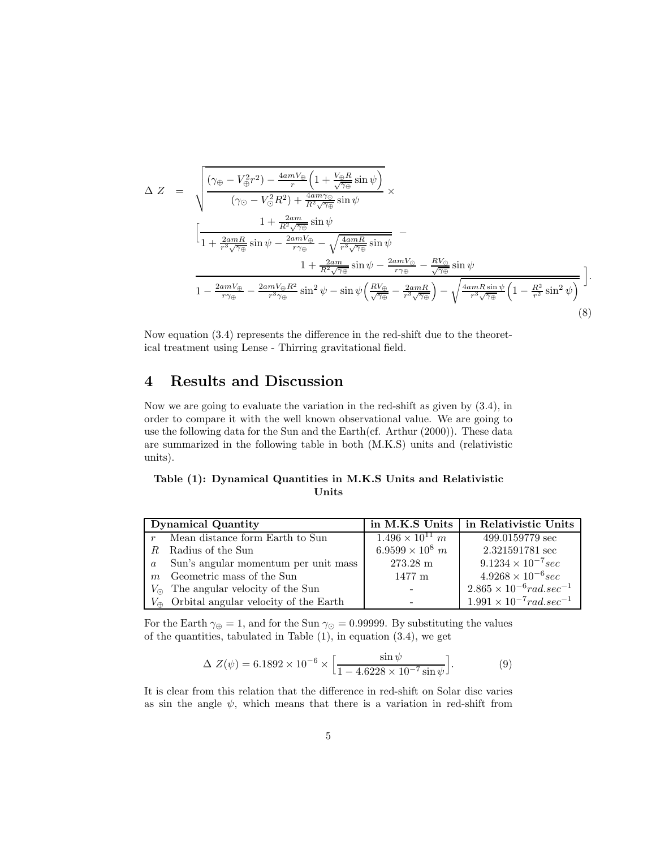$$
\Delta Z = \sqrt{\frac{(\gamma_{\oplus} - V_{\oplus}^2 r^2) - \frac{4amV_{\oplus}}{r} \left(1 + \frac{V_{\oplus} R}{\sqrt{\gamma_{\oplus}}} \sin \psi\right)}{( \gamma_{\odot} - V_{\odot}^2 R^2) + \frac{4am\gamma_{\odot}}{R^2 \sqrt{\gamma_{\oplus}}} \sin \psi}} \times \n\left[ \frac{1 + \frac{2am}{R^2 \sqrt{\gamma_{\oplus}}} \sin \psi}{1 + \frac{2amR}{r^3 \sqrt{\gamma_{\oplus}}} \sin \psi} - \frac{1 + \frac{2amV_{\oplus}}{R^2 \sqrt{\gamma_{\oplus}}} \sin \psi}{1 + \frac{2amV_{\oplus}}{R^2 \sqrt{\gamma_{\oplus}}} \sin \psi} - \frac{1 + \frac{2amV_{\oplus}}{R^2 \sqrt{\gamma_{\oplus}}} \sin \psi - \frac{2amV_{\ominus}}{r\gamma_{\oplus}}} \sin \psi - \frac{2amV_{\ominus}}{r\gamma_{\oplus}} \sin \psi - \frac{2amV_{\ominus}}{r\gamma_{\oplus}}} \right].
$$
\n
$$
1 - \frac{2amV_{\oplus}}{r\gamma_{\oplus}} - \frac{2amV_{\oplus}R^2}{r^3\gamma_{\oplus}} \sin^2 \psi - \sin \psi \left( \frac{RV_{\oplus}}{\sqrt{\gamma_{\oplus}}} - \frac{2amR}{r^3 \sqrt{\gamma_{\oplus}}} \right) - \sqrt{\frac{4amR\sin\psi}{r^3 \sqrt{\gamma_{\oplus}}} \left(1 - \frac{R^2}{r^2} \sin^2 \psi\right)} \tag{8}
$$

Now equation (3.4) represents the difference in the red-shift due to the theoretical treatment using Lense - Thirring gravitational field.

### 4 Results and Discussion

Now we are going to evaluate the variation in the red-shift as given by (3.4), in order to compare it with the well known observational value. We are going to use the following data for the Sun and the Earth(cf. Arthur (2000)). These data are summarized in the following table in both (M.K.S) units and (relativistic units).

#### Table (1): Dynamical Quantities in M.K.S Units and Relativistic Units

| <b>Dynamical Quantity</b> |                                                    | in M.K.S Units           | in Relativistic Units               |
|---------------------------|----------------------------------------------------|--------------------------|-------------------------------------|
| $\boldsymbol{r}$          | Mean distance form Earth to Sun                    | $1.496 \times 10^{11}$ m | 499.0159779 sec                     |
|                           | R Radius of the Sun                                | $6.9599 \times 10^8$ m   | 2.321591781 sec                     |
| $\alpha$                  | Sun's angular momentum per unit mass               | $273.28 \text{ m}$       | $9.1234 \times 10^{-7} sec$         |
| m                         | Geometric mass of the Sun                          | $1477$ m                 | $4.9268 \times 10^{-6} sec$         |
|                           | $V_{\odot}$ The angular velocity of the Sun        |                          | $2.865 \times 10^{-6} rad/sec^{-1}$ |
|                           | $V_{\oplus}$ Orbital angular velocity of the Earth |                          | $1.991 \times 10^{-7} rad/sec^{-1}$ |

For the Earth  $\gamma_{\oplus} = 1$ , and for the Sun  $\gamma_{\odot} = 0.99999$ . By substituting the values of the quantities, tabulated in Table  $(1)$ , in equation  $(3.4)$ , we get

$$
\Delta Z(\psi) = 6.1892 \times 10^{-6} \times \left[ \frac{\sin \psi}{1 - 4.6228 \times 10^{-7} \sin \psi} \right].
$$
 (9)

It is clear from this relation that the difference in red-shift on Solar disc varies as sin the angle  $\psi$ , which means that there is a variation in red-shift from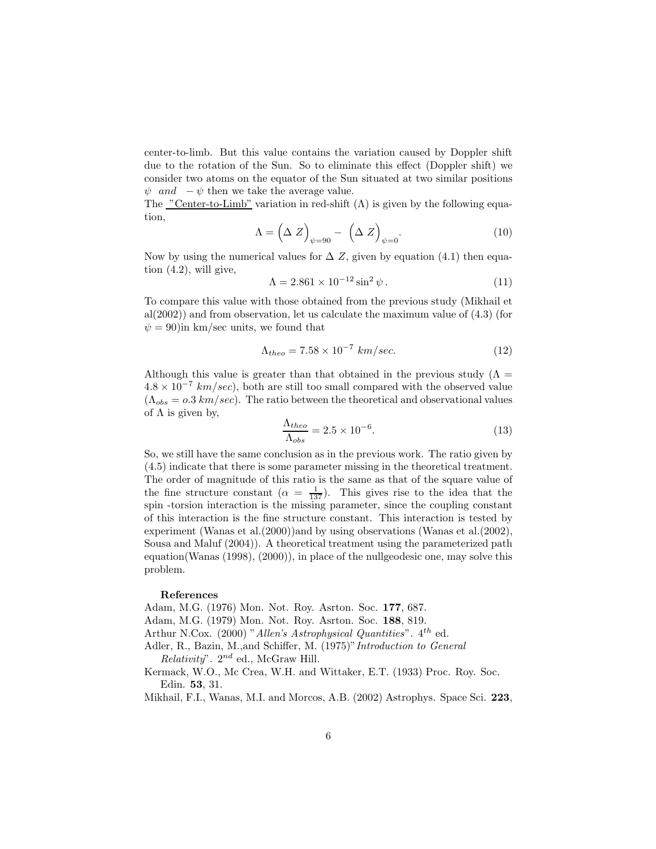center-to-limb. But this value contains the variation caused by Doppler shift due to the rotation of the Sun. So to eliminate this effect (Doppler shift) we consider two atoms on the equator of the Sun situated at two similar positions  $\psi$  and  $-\psi$  then we take the average value.

The "Center-to-Limb" variation in red-shift  $(\Lambda)$  is given by the following equation,

$$
\Lambda = \left(\Delta Z\right)_{\psi=90} - \left(\Delta Z\right)_{\psi=0}.\tag{10}
$$

Now by using the numerical values for  $\Delta Z$ , given by equation (4.1) then equation (4.2), will give,

$$
\Lambda = 2.861 \times 10^{-12} \sin^2 \psi. \tag{11}
$$

To compare this value with those obtained from the previous study (Mikhail et al( $2002$ )) and from observation, let us calculate the maximum value of  $(4.3)$  (for  $\psi = 90$ )in km/sec units, we found that

$$
\Lambda_{theo} = 7.58 \times 10^{-7} \, \text{km/sec.} \tag{12}
$$

Although this value is greater than that obtained in the previous study ( $\Lambda$  =  $4.8 \times 10^{-7}$  km/sec), both are still too small compared with the observed value  $(\Lambda_{obs} = 0.3 \ km/sec)$ . The ratio between the theoretical and observational values of  $\Lambda$  is given by,

$$
\frac{\Lambda_{theo}}{\Lambda_{obs}} = 2.5 \times 10^{-6}.\tag{13}
$$

So, we still have the same conclusion as in the previous work. The ratio given by (4.5) indicate that there is some parameter missing in the theoretical treatment. The order of magnitude of this ratio is the same as that of the square value of the fine structure constant  $(\alpha = \frac{1}{137})$ . This gives rise to the idea that the spin -torsion interaction is the missing parameter, since the coupling constant of this interaction is the fine structure constant. This interaction is tested by experiment (Wanas et al.(2000))and by using observations (Wanas et al.(2002), Sousa and Maluf (2004)). A theoretical treatment using the parameterized path equation(Wanas (1998), (2000)), in place of the nullgeodesic one, may solve this problem.

#### References

Adam, M.G. (1976) Mon. Not. Roy. Asrton. Soc. 177, 687.

Adam, M.G. (1979) Mon. Not. Roy. Asrton. Soc. 188, 819.

Arthur N.Cox. (2000) "Allen's Astrophysical Quantities".  $4^{th}$  ed.

Adler, R., Bazin, M., and Schiffer, M. (1975)" Introduction to General  $Relativity$ ".  $2^{nd}$  ed., McGraw Hill.

Kermack, W.O., Mc Crea, W.H. and Wittaker, E.T. (1933) Proc. Roy. Soc. Edin. 53, 31.

Mikhail, F.I., Wanas, M.I. and Morcos, A.B. (2002) Astrophys. Space Sci. 223,